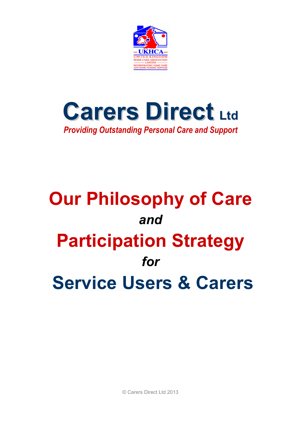



# **Our Philosophy of Care**  *and*  **Participation Strategy**  *for*  **Service Users & Carers**

© Carers Direct Ltd 2013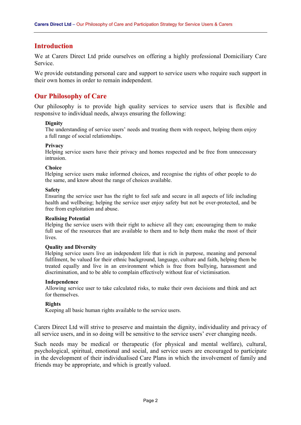## **Introduction**

We at Carers Direct Ltd pride ourselves on offering a highly professional Domiciliary Care Service.

We provide outstanding personal care and support to service users who require such support in their own homes in order to remain independent.

## **Our Philosophy of Care**

Our philosophy is to provide high quality services to service users that is flexible and responsive to individual needs, always ensuring the following:

## **Dignity**

The understanding of service users' needs and treating them with respect, helping them enjoy a full range of social relationships.

#### **Privacy**

Helping service users have their privacy and homes respected and be free from unnecessary intrusion.

#### **Choice**

Helping service users make informed choices, and recognise the rights of other people to do the same, and know about the range of choices available.

#### **Safety**

Ensuring the service user has the right to feel safe and secure in all aspects of life including health and wellbeing; helping the service user enjoy safety but not be over-protected, and be free from exploitation and abuse.

#### **Realising Potential**

Helping the service users with their right to achieve all they can; encouraging them to make full use of the resources that are available to them and to help them make the most of their **lives** 

#### **Quality and Diversity**

Helping service users live an independent life that is rich in purpose, meaning and personal fulfilment, be valued for their ethnic background, language, culture and faith, helping them be treated equally and live in an environment which is free from bullying, harassment and discrimination, and to be able to complain effectively without fear of victimisation.

#### **Independence**

Allowing service user to take calculated risks, to make their own decisions and think and act for themselves.

#### **Rights**

Keeping all basic human rights available to the service users.

Carers Direct Ltd will strive to preserve and maintain the dignity, individuality and privacy of all service users, and in so doing will be sensitive to the service users' ever changing needs.

Such needs may be medical or therapeutic (for physical and mental welfare), cultural, psychological, spiritual, emotional and social, and service users are encouraged to participate in the development of their individualised Care Plans in which the involvement of family and friends may be appropriate, and which is greatly valued.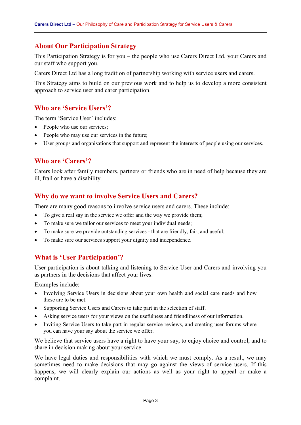## **About Our Participation Strategy**

This Participation Strategy is for you – the people who use Carers Direct Ltd, your Carers and our staff who support you.

Carers Direct Ltd has a long tradition of partnership working with service users and carers.

This Strategy aims to build on our previous work and to help us to develop a more consistent approach to service user and carer participation.

## **Who are 'Service Users'?**

The term 'Service User' includes:

- People who use our services;
- People who may use our services in the future;
- User groups and organisations that support and represent the interests of people using our services.

## **Who are 'Carers'?**

Carers look after family members, partners or friends who are in need of help because they are ill, frail or have a disability.

## **Why do we want to involve Service Users and Carers?**

There are many good reasons to involve service users and carers. These include:

- To give a real say in the service we offer and the way we provide them;
- To make sure we tailor our services to meet your individual needs;
- To make sure we provide outstanding services that are friendly, fair, and useful;
- To make sure our services support your dignity and independence.

## **What is 'User Participation'?**

User participation is about talking and listening to Service User and Carers and involving you as partners in the decisions that affect your lives.

Examples include:

- Involving Service Users in decisions about your own health and social care needs and how these are to be met.
- Supporting Service Users and Carers to take part in the selection of staff.
- Asking service users for your views on the usefulness and friendliness of our information.
- Inviting Service Users to take part in regular service reviews, and creating user forums where you can have your say about the service we offer.

We believe that service users have a right to have your say, to enjoy choice and control, and to share in decision making about your service.

We have legal duties and responsibilities with which we must comply. As a result, we may sometimes need to make decisions that may go against the views of service users. If this happens, we will clearly explain our actions as well as your right to appeal or make a complaint.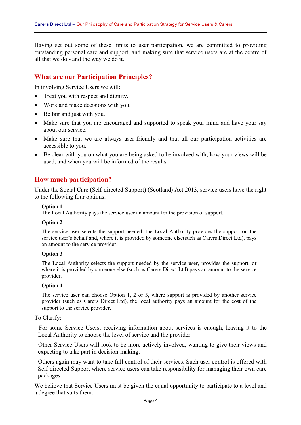Having set out some of these limits to user participation, we are committed to providing outstanding personal care and support, and making sure that service users are at the centre of all that we do - and the way we do it.

## **What are our Participation Principles?**

In involving Service Users we will:

- Treat you with respect and dignity.
- Work and make decisions with you.
- Be fair and just with you.
- Make sure that you are encouraged and supported to speak your mind and have your say about our service.
- Make sure that we are always user-friendly and that all our participation activities are accessible to you.
- Be clear with you on what you are being asked to be involved with, how your views will be used, and when you will be informed of the results.

## **How much participation?**

Under the Social Care (Self-directed Support) (Scotland) Act 2013, service users have the right to the following four options:

## **Option 1**

The Local Authority pays the service user an amount for the provision of support.

#### **Option 2**

The service user selects the support needed, the Local Authority provides the support on the service user's behalf and, where it is provided by someone else(such as Carers Direct Ltd), pays an amount to the service provider.

#### **Option 3**

The Local Authority selects the support needed by the service user, provides the support, or where it is provided by someone else (such as Carers Direct Ltd) pays an amount to the service provider.

#### **Option 4**

The service user can choose Option 1, 2 or 3, where support is provided by another service provider (such as Carers Direct Ltd), the local authority pays an amount for the cost of the support to the service provider.

To Clarify:

- For some Service Users, receiving information about services is enough, leaving it to the Local Authority to choose the level of service and the provider.
- Other Service Users will look to be more actively involved, wanting to give their views and expecting to take part in decision-making.
- Others again may want to take full control of their services. Such user control is offered with Self-directed Support where service users can take responsibility for managing their own care packages.

We believe that Service Users must be given the equal opportunity to participate to a level and a degree that suits them.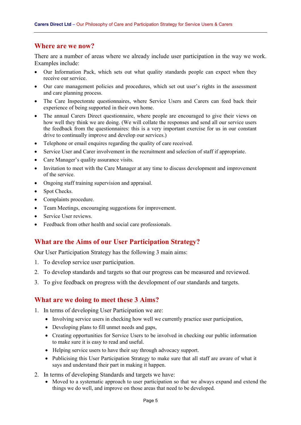## **Where are we now?**

There are a number of areas where we already include user participation in the way we work. Examples include:

- Our Information Pack, which sets out what quality standards people can expect when they receive our service.
- Our care management policies and procedures, which set out user's rights in the assessment and care planning process.
- The Care Inspectorate questionnaires, where Service Users and Carers can feed back their experience of being supported in their own home.
- The annual Carers Direct questionnaire, where people are encouraged to give their views on how well they think we are doing. (We will collate the responses and send all our service users the feedback from the questionnaires: this is a very important exercise for us in our constant drive to continually improve and develop our services.)
- Telephone or email enquires regarding the quality of care received.
- Service User and Carer involvement in the recruitment and selection of staff if appropriate.
- Care Manager's quality assurance visits.
- Invitation to meet with the Care Manager at any time to discuss development and improvement of the service.
- Ongoing staff training supervision and appraisal.
- Spot Checks.
- Complaints procedure.
- Team Meetings, encouraging suggestions for improvement.
- Service User reviews.
- Feedback from other health and social care professionals.

## **What are the Aims of our User Participation Strategy?**

Our User Participation Strategy has the following 3 main aims:

- 1. To develop service user participation.
- 2. To develop standards and targets so that our progress can be measured and reviewed.
- 3. To give feedback on progress with the development of our standards and targets.

## **What are we doing to meet these 3 Aims?**

- 1. In terms of developing User Participation we are:
	- Involving service users in checking how well we currently practice user participation,
	- Developing plans to fill unmet needs and gaps,
	- Creating opportunities for Service Users to be involved in checking our public information to make sure it is easy to read and useful.
	- Helping service users to have their say through advocacy support.
	- Publicising this User Participation Strategy to make sure that all staff are aware of what it says and understand their part in making it happen.
- 2. In terms of developing Standards and targets we have:
	- Moved to a systematic approach to user participation so that we always expand and extend the things we do well, and improve on those areas that need to be developed.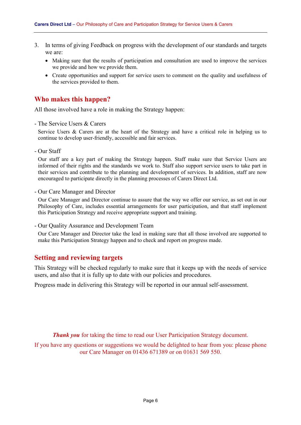- 3. In terms of giving Feedback on progress with the development of our standards and targets we are:
	- Making sure that the results of participation and consultation are used to improve the services we provide and how we provide them.
	- Create opportunities and support for service users to comment on the quality and usefulness of the services provided to them.

## **Who makes this happen?**

All those involved have a role in making the Strategy happen:

- The Service Users & Carers

Service Users & Carers are at the heart of the Strategy and have a critical role in helping us to continue to develop user-friendly, accessible and fair services.

- Our Staff

Our staff are a key part of making the Strategy happen. Staff make sure that Service Users are informed of their rights and the standards we work to. Staff also support service users to take part in their services and contribute to the planning and development of services. In addition, staff are now encouraged to participate directly in the planning processes of Carers Direct Ltd.

- Our Care Manager and Director

Our Care Manager and Director continue to assure that the way we offer our service, as set out in our Philosophy of Care, includes essential arrangements for user participation, and that staff implement this Participation Strategy and receive appropriate support and training.

- Our Quality Assurance and Development Team

Our Care Manager and Director take the lead in making sure that all those involved are supported to make this Participation Strategy happen and to check and report on progress made.

## **Setting and reviewing targets**

This Strategy will be checked regularly to make sure that it keeps up with the needs of service users, and also that it is fully up to date with our policies and procedures.

Progress made in delivering this Strategy will be reported in our annual self-assessment.

*Thank you* for taking the time to read our User Participation Strategy document.

If you have any questions or suggestions we would be delighted to hear from you: please phone our Care Manager on 01436 671389 or on 01631 569 550.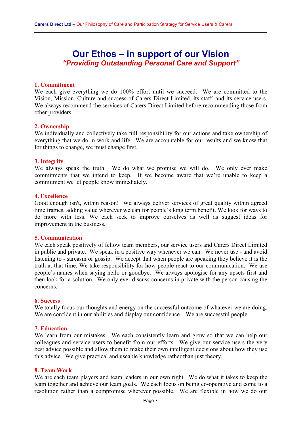## **Our Ethos – in support of our Vision**  *"Providing Outstanding Personal Care and Support"*

## **1. Commitment**

We each give everything we do 100% effort until we succeed. We are committed to the Vision, Mission, Culture and success of Carers Direct Limited, its staff, and its service users. We always recommend the services of Carers Direct Limited before recommending those from other providers.

## **2. Ownership**

We individually and collectively take full responsibility for our actions and take ownership of everything that we do in work and life. We are accountable for our results and we know that for things to change, we must change first.

## **3. Integrity**

We always speak the truth. We do what we promise we will do. We only ever make commitments that we intend to keep. If we become aware that we're unable to keep a commitment we let people know immediately.

## **4. Excellence**

Good enough isn't, within reason! We always deliver services of great quality within agreed time frames, adding value wherever we can for people's long term benefit. We look for ways to do more with less. We each seek to improve ourselves as well as suggest ideas for improvement in the business.

## **5. Communication**

We each speak positively of fellow team members, our service users and Carers Direct Limited in public and private. We speak in a positive way whenever we can. We never use - and avoid listening to - sarcasm or gossip. We accept that when people are speaking they believe it is the truth at that time. We take responsibility for how people react to our communication. We use people's names when saying hello or goodbye. We always apologise for any upsets first and then look for a solution. We only ever discuss concerns in private with the person causing the concerns.

#### **6. Success**

We totally focus our thoughts and energy on the successful outcome of whatever we are doing. We are confident in our abilities and display our confidence. We are successful people.

## **7. Education**

We learn from our mistakes. We each consistently learn and grow so that we can help our colleagues and service users to benefit from our efforts. We give our service users the very best advice possible and allow them to make their own intelligent decisions about how they use this advice. We give practical and useable knowledge rather than just theory.

#### **8. Team Work**

We are each team players and team leaders in our own right. We do what it takes to keep the team together and achieve our team goals. We each focus on being co-operative and come to a resolution rather than a compromise wherever possible. We are flexible in how we do our